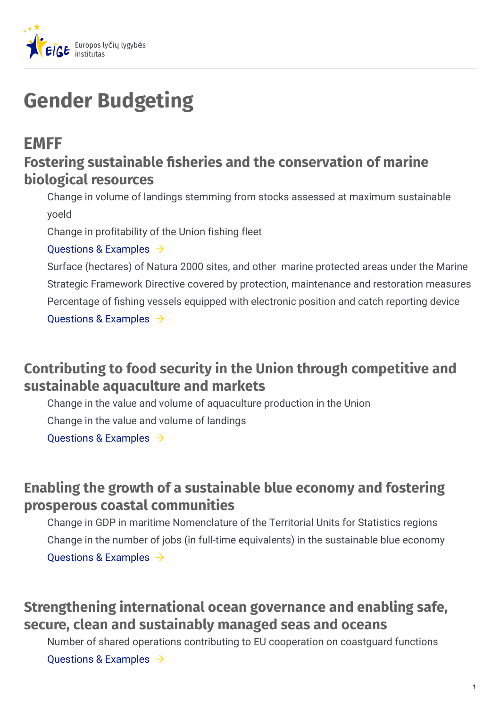

# **Gender Budgeting**

## **EMFF**

### **Fostering sustainable sheries and the conservation of marine biological resources**

Change in volume of landings stemming from stocks assessed at maximum sustainable yoeld

Change in profitability of the Union fishing fleet

#### [Questions](https://eige.europa.eu/lt/gender-mainstreaming/toolkits/gender-budgeting/emff?lang=el#) & Examples  $\rightarrow$

Surface (hectares) of Natura 2000 sites, and other marine protected areas under the Marine Strategic Framework Directive covered by protection, maintenance and restoration measures Percentage of fishing vessels equipped with electronic position and catch reporting device [Questions](https://eige.europa.eu/lt/gender-mainstreaming/toolkits/gender-budgeting/emff?lang=el#) & Examples  $\rightarrow$ 

### **Contributing to food security in the Union through competitive and sustainable aquaculture and markets**

Change in the value and volume of aquaculture production in the Union

Change in the value and volume of landings

Ouestions & Examples  $\rightarrow$ 

#### **Enabling the growth of a sustainable blue economy and fostering prosperous coastal communities**

Change in GDP in maritime Nomenclature of the Territorial Units for Statistics regions Change in the number of jobs (in full-time equivalents) in the sustainable blue economy [Questions](https://eige.europa.eu/lt/gender-mainstreaming/toolkits/gender-budgeting/emff?lang=el#) & Examples  $\rightarrow$ 

### **Strengthening international ocean governance and enabling safe, secure, clean and sustainably managed seas and oceans**

Number of shared operations contributing to EU cooperation on coastguard functions [Questions](https://eige.europa.eu/lt/gender-mainstreaming/toolkits/gender-budgeting/emff?lang=el#) & Examples  $\rightarrow$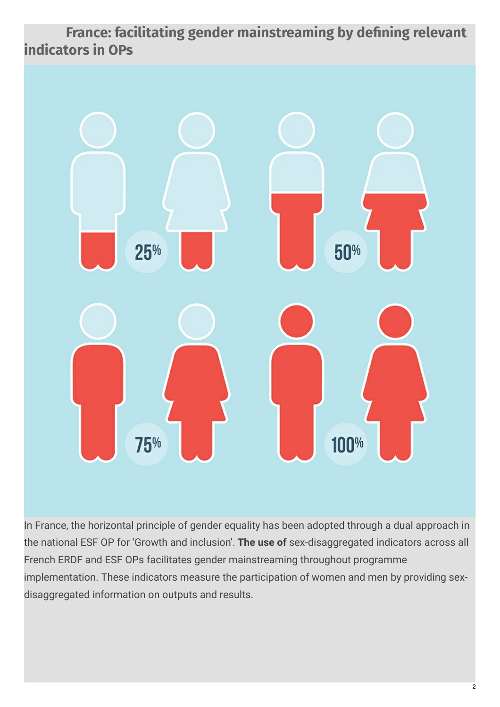**France: facilitating gender mainstreaming by dening relevant indicators in OPs**



In France, the horizontal principle of gender equality has been adopted through a dual approach in the national ESF OP for 'Growth and inclusion'. **The use of** sex-disaggregated indicators across all French ERDF and ESF OPs facilitates gender mainstreaming throughout programme implementation. These indicators measure the participation of women and men by providing sexdisaggregated information on outputs and results.